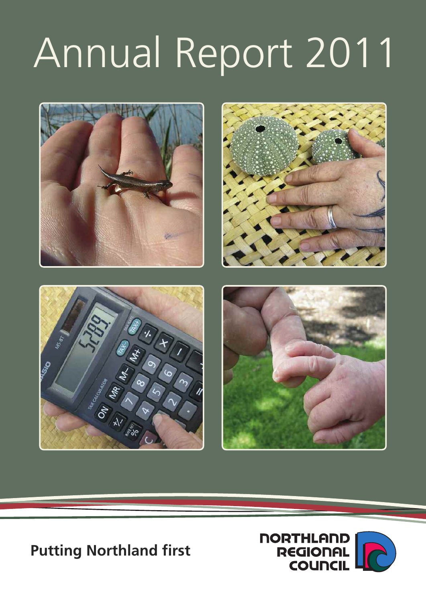# Annual Report 2011



**Putting Northland first**

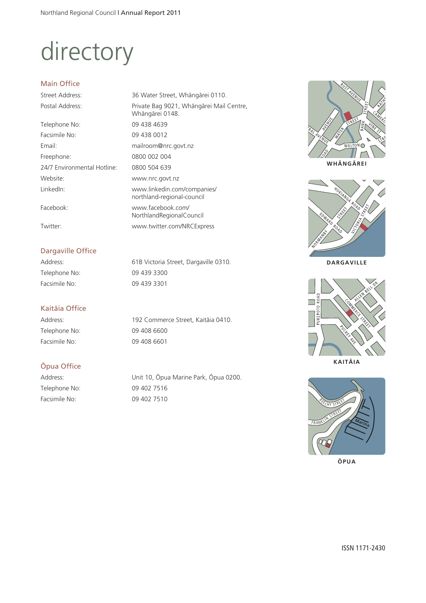## directory

#### Main Office

Street Address: 36 Water Street, Whängärei 0110.

Telephone No: 09 438 4639 Facsimile No: 09 438 0012 Email: mailroom@nrc.govt.nz Freephone: 0800 002 004 24/7 Environmental Hotline: 0800 504 639 Website: www.nrc.govt.nz

#### Dargaville Office

Telephone No: 09 439 3300 Facsimile No: 09 439 3301

#### Kaitäia Office

Telephone No: 09 408 6600 Facsimile No: 09 408 6601

Postal Address: Private Bag 9021, Whängärei Mail Centre, Whängärei 0148. LinkedIn: www.linkedin.com/companies/ northland-regional-council Facebook: www.facebook.com/ NorthlandRegionalCouncil Twitter: www.twitter.com/NRCExpress

Address: 61B Victoria Street, Dargaville 0310.

Address: 192 Commerce Street, Kaitāia 0410.

#### Öpua Office

Telephone No: 09 402 7516 Facsimile No: 09 402 7510

Address: Unit 10, Öpua Marine Park, Öpua 0200.



**WHÄNGÄREI**









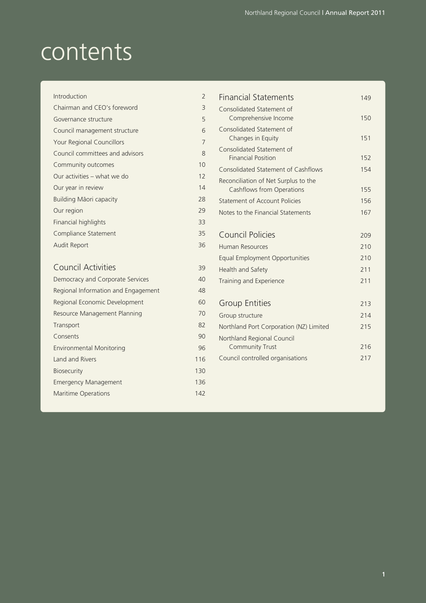## **contents**

| Introduction                        | $\overline{2}$ |
|-------------------------------------|----------------|
| Chairman and CEO's foreword         | 3              |
| Governance structure                | 5              |
| Council management structure        | 6              |
| <b>Your Regional Councillors</b>    | 7              |
| Council committees and advisors     | 8              |
| Community outcomes                  | 10             |
| Our activities – what we do         | 12             |
| Our year in review                  | 14             |
| Building Māori capacity             | 28             |
| Our region                          | 29             |
| Financial highlights                | 33             |
| Compliance Statement                | 35             |
| <b>Audit Report</b>                 | 36             |
|                                     |                |
| <b>Council Activities</b>           | 39             |
| Democracy and Corporate Services    | 40             |
| Regional Information and Engagement | 48             |
| Regional Economic Development       | 60             |
| Resource Management Planning        | 70             |
| Transport                           | 82             |
| Consents                            | 90             |
| <b>Environmental Monitoring</b>     | 96             |
| Land and Rivers                     | 116            |
| Biosecurity                         | 130            |
| <b>Emergency Management</b>         | 136            |
| <b>Maritime Operations</b>          | 142            |
|                                     |                |

| <b>Financial Statements</b>                            | 149 |
|--------------------------------------------------------|-----|
| Consolidated Statement of                              |     |
| Comprehensive Income                                   | 150 |
| Consolidated Statement of<br>Changes in Equity         | 151 |
|                                                        |     |
| Consolidated Statement of<br><b>Financial Position</b> | 152 |
| Consolidated Statement of Cashflows                    | 154 |
| Reconciliation of Net Surplus to the                   |     |
| Cashflows from Operations                              | 155 |
| Statement of Account Policies                          | 156 |
| Notes to the Financial Statements                      | 167 |
|                                                        |     |
| Council Policies                                       | 209 |
| <b>Human Resources</b>                                 | 710 |
| Equal Employment Opportunities                         | 210 |
| Health and Safety                                      | 211 |
| Training and Experience                                | 211 |
|                                                        |     |
| <b>Group Entities</b>                                  | 213 |
| Group structure                                        | 214 |
| Northland Port Corporation (NZ) Limited                | 215 |
| Northland Regional Council                             |     |
| <b>Community Trust</b>                                 | 216 |
| Council controlled organisations                       | 217 |
|                                                        |     |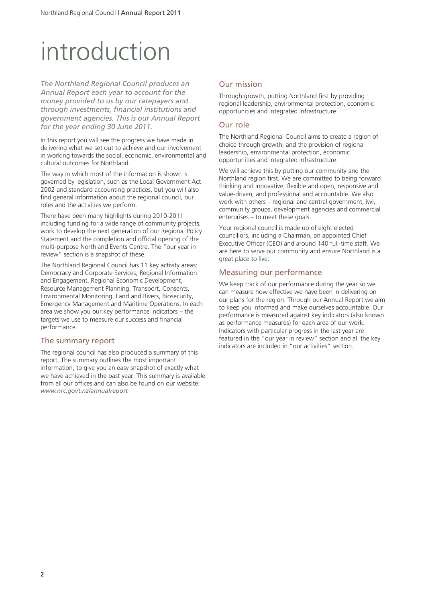### introduction

*The Northland Regional Council produces an Annual Report each year to account for the money provided to us by our ratepayers and through investments, financial institutions and government agencies. This is our Annual Report for the year ending 30 June 2011.*

In this report you will see the progress we have made in delivering what we set out to achieve and our involvement in working towards the social, economic, environmental and cultural outcomes for Northland.

The way in which most of the information is shown is governed by legislation, such as the Local Government Act 2002 and standard accounting practices, but you will also find general information about the regional council, our roles and the activities we perform.

There have been many highlights during 2010-2011 including funding for a wide range of community projects, work to develop the next generation of our Regional Policy Statement and the completion and official opening of the multi-purpose Northland Events Centre. The "our year in review" section is a snapshot of these.

The Northland Regional Council has 11 key activity areas: Democracy and Corporate Services, Regional Information and Engagement, Regional Economic Development, Resource Management Planning, Transport, Consents, Environmental Monitoring, Land and Rivers, Biosecurity, Emergency Management and Maritime Operations. In each area we show you our key performance indicators – the targets we use to measure our success and financial performance.

#### The summary report

The regional council has also produced a summary of this report. The summary outlines the most important information, to give you an easy snapshot of exactly what we have achieved in the past year. This summary is available from all our offices and can also be found on our website: *www.nrc.govt.nz/annualreport*

#### Our mission

Through growth, putting Northland first by providing regional leadership, environmental protection, economic opportunities and integrated infrastructure.

#### Our role

The Northland Regional Council aims to create a region of choice through growth, and the provision of regional leadership, environmental protection, economic opportunities and integrated infrastructure.

We will achieve this by putting our community and the Northland region first. We are committed to being forward thinking and innovative, flexible and open, responsive and value-driven, and professional and accountable. We also work with others – regional and central government, iwi, community groups, development agencies and commercial enterprises – to meet these goals.

Your regional council is made up of eight elected councillors, including a Chairman, an appointed Chief Executive Officer (CEO) and around 140 full-time staff. We are here to serve our community and ensure Northland is a great place to live.

#### Measuring our performance

We keep track of our performance during the year so we can measure how effective we have been in delivering on our plans for the region. Through our Annual Report we aim to keep you informed and make ourselves accountable. Our performance is measured against key indicators (also known as performance measures) for each area of our work. Indicators with particular progress in the last year are featured in the "our year in review" section and all the key indicators are included in "our activities" section.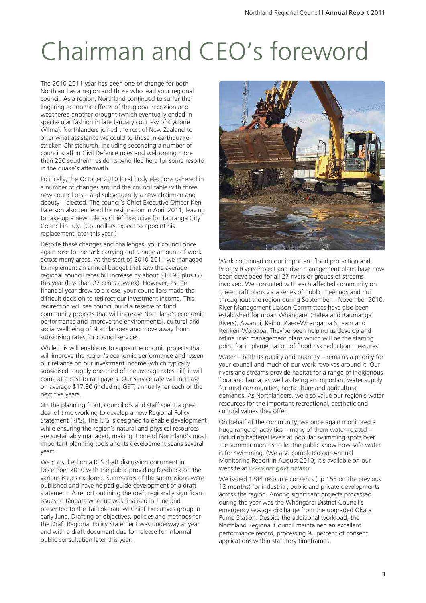## Chairman and CEO's foreword

The 2010-2011 year has been one of change for both Northland as a region and those who lead your regional council. As a region, Northland continued to suffer the lingering economic effects of the global recession and weathered another drought (which eventually ended in spectacular fashion in late January courtesy of Cyclone Wilma). Northlanders joined the rest of New Zealand to offer what assistance we could to those in earthquakestricken Christchurch, including seconding a number of council staff in Civil Defence roles and welcoming more than 250 southern residents who fled here for some respite in the quake's aftermath.

Politically, the October 2010 local body elections ushered in a number of changes around the council table with three new councillors – and subsequently a new chairman and deputy – elected. The council's Chief Executive Officer Ken Paterson also tendered his resignation in April 2011, leaving to take up a new role as Chief Executive for Tauranga City Council in July. (Councillors expect to appoint his replacement later this year.)

Despite these changes and challenges, your council once again rose to the task carrying out a huge amount of work across many areas. At the start of 2010-2011 we managed to implement an annual budget that saw the average regional council rates bill increase by about \$13.90 plus GST this year (less than 27 cents a week). However, as the financial year drew to a close, your councillors made the difficult decision to redirect our investment income. This redirection will see council build a reserve to fund community projects that will increase Northland's economic performance and improve the environmental, cultural and social wellbeing of Northlanders and move away from subsidising rates for council services.

While this will enable us to support economic projects that will improve the region's economic performance and lessen our reliance on our investment income (which typically subsidised roughly one-third of the average rates bill) it will come at a cost to ratepayers. Our service rate will increase on average \$17.80 (including GST) annually for each of the next five years.

On the planning front, councillors and staff spent a great deal of time working to develop a new Regional Policy Statement (RPS). The RPS is designed to enable development while ensuring the region's natural and physical resources are sustainably managed, making it one of Northland's most important planning tools and its development spans several years.

We consulted on a RPS draft discussion document in December 2010 with the public providing feedback on the various issues explored. Summaries of the submissions were published and have helped guide development of a draft statement. A report outlining the draft regionally significant issues to tängata whenua was finalised in June and presented to the Tai Tokerau Iwi Chief Executives group in early June. Drafting of objectives, policies and methods for the Draft Regional Policy Statement was underway at year end with a draft document due for release for informal public consultation later this year.



Work continued on our important flood protection and Priority Rivers Project and river management plans have now been developed for all 27 rivers or groups of streams involved. We consulted with each affected community on these draft plans via a series of public meetings and hui throughout the region during September – November 2010. River Management Liaison Committees have also been established for urban Whängärei (Hätea and Raumanga Rivers), Awanui, Kaihü, Kaeo-Whangaroa Stream and Kerikeri-Waipapa. They've been helping us develop and refine river management plans which will be the starting point for implementation of flood risk reduction measures.

Water – both its quality and quantity – remains a priority for your council and much of our work revolves around it. Our rivers and streams provide habitat for a range of indigenous flora and fauna, as well as being an important water supply for rural communities, horticulture and agricultural demands. As Northlanders, we also value our region's water resources for the important recreational, aesthetic and cultural values they offer.

On behalf of the community, we once again monitored a huge range of activities – many of them water-related – including bacterial levels at popular swimming spots over the summer months to let the public know how safe water is for swimming. (We also completed our Annual Monitoring Report in August 2010; it's available on our website at *www.nrc.govt.nz/amr*

We issued 1284 resource consents (up 155 on the previous 12 months) for industrial, public and private developments across the region. Among significant projects processed during the year was the Whängärei District Council's emergency sewage discharge from the upgraded Okara Pump Station. Despite the additional workload, the Northland Regional Council maintained an excellent performance record, processing 98 percent of consent applications within statutory timeframes.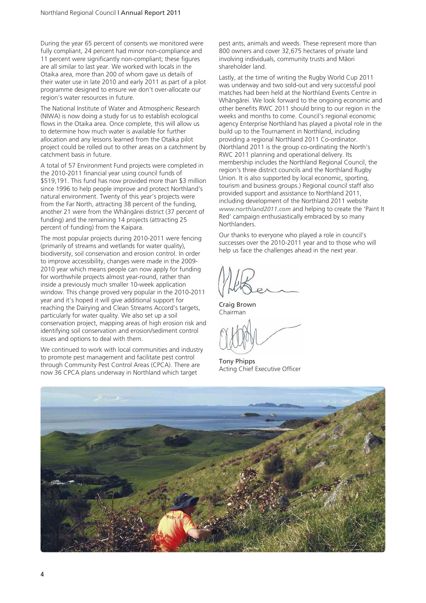During the year 65 percent of consents we monitored were fully compliant, 24 percent had minor non-compliance and 11 percent were significantly non-compliant; these figures are all similar to last year. We worked with locals in the Otaika area, more than 200 of whom gave us details of their water use in late 2010 and early 2011 as part of a pilot programme designed to ensure we don't over-allocate our region's water resources in future.

The National Institute of Water and Atmospheric Research (NIWA) is now doing a study for us to establish ecological flows in the Otaika area. Once complete, this will allow us to determine how much water is available for further allocation and any lessons learned from the Otaika pilot project could be rolled out to other areas on a catchment by catchment basis in future.

A total of 57 Environment Fund projects were completed in the 2010-2011 financial year using council funds of \$519,191. This fund has now provided more than \$3 million since 1996 to help people improve and protect Northland's natural environment. Twenty of this year's projects were from the Far North, attracting 38 percent of the funding, another 21 were from the Whängärei district (37 percent of funding) and the remaining 14 projects (attracting 25 percent of funding) from the Kaipara.

The most popular projects during 2010-2011 were fencing (primarily of streams and wetlands for water quality), biodiversity, soil conservation and erosion control. In order to improve accessibility, changes were made in the 2009- 2010 year which means people can now apply for funding for worthwhile projects almost year-round, rather than inside a previously much smaller 10-week application window. This change proved very popular in the 2010-2011 year and it's hoped it will give additional support for reaching the Dairying and Clean Streams Accord's targets, particularly for water quality. We also set up a soil conservation project, mapping areas of high erosion risk and identifying soil conservation and erosion/sediment control issues and options to deal with them.

We continued to work with local communities and industry to promote pest management and facilitate pest control through Community Pest Control Areas (CPCA). There are now 36 CPCA plans underway in Northland which target

pest ants, animals and weeds. These represent more than 800 owners and cover 32,675 hectares of private land involving individuals, community trusts and Mäori shareholder land.

Lastly, at the time of writing the Rugby World Cup 2011 was underway and two sold-out and very successful pool matches had been held at the Northland Events Centre in Whängärei. We look forward to the ongoing economic and other benefits RWC 2011 should bring to our region in the weeks and months to come. Council's regional economic agency Enterprise Northland has played a pivotal role in the build up to the Tournament in Northland, including providing a regional Northland 2011 Co-ordinator. (Northland 2011 is the group co-ordinating the North's RWC 2011 planning and operational delivery. Its membership includes the Northland Regional Council, the region's three district councils and the Northland Rugby Union. It is also supported by local economic, sporting, tourism and business groups.) Regional council staff also provided support and assistance to Northland 2011, including development of the Northland 2011 website *www.northland2011.com* and helping to create the 'Paint It Red' campaign enthusiastically embraced by so many Northlanders.

Our thanks to everyone who played a role in council's successes over the 2010-2011 year and to those who will help us face the challenges ahead in the next year.

Craig Brown Chairman

Tony Phipps Acting Chief Executive Officer

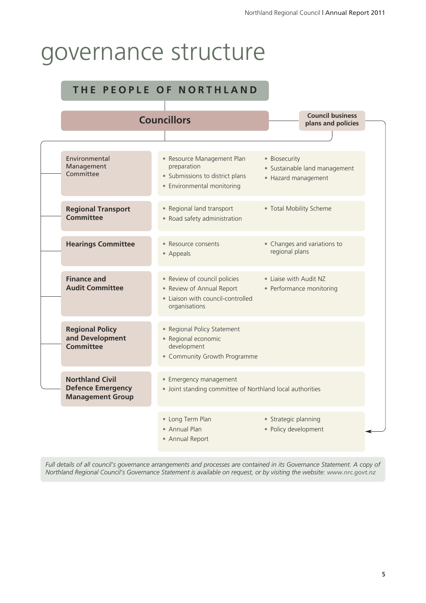### governance structure

#### **T H E P E O P L E O F N O R T H L A N D**

|                                                                               | <b>Councillors</b>                                                                                              | <b>Council business</b><br>plans and policies                         |
|-------------------------------------------------------------------------------|-----------------------------------------------------------------------------------------------------------------|-----------------------------------------------------------------------|
| Environmental<br>Management<br>Committee                                      | • Resource Management Plan<br>preparation<br>• Submissions to district plans<br>• Environmental monitoring      | • Biosecurity<br>· Sustainable land management<br>• Hazard management |
| <b>Regional Transport</b><br><b>Committee</b>                                 | • Regional land transport<br>• Road safety administration                                                       | • Total Mobility Scheme                                               |
| <b>Hearings Committee</b>                                                     | • Resource consents<br>• Appeals                                                                                | • Changes and variations to<br>regional plans                         |
| <b>Finance and</b><br><b>Audit Committee</b>                                  | • Review of council policies<br>• Review of Annual Report<br>• Liaison with council-controlled<br>organisations | • Liaise with Audit NZ<br>• Performance monitoring                    |
| <b>Regional Policy</b><br>and Development<br><b>Committee</b>                 | • Regional Policy Statement<br>· Regional economic<br>development<br>• Community Growth Programme               |                                                                       |
| <b>Northland Civil</b><br><b>Defence Emergency</b><br><b>Management Group</b> | • Emergency management<br>• Joint standing committee of Northland local authorities                             |                                                                       |
|                                                                               | • Long Term Plan<br>• Annual Plan<br>• Annual Report                                                            | • Strategic planning<br>• Policy development                          |

Full details of all council's governance arrangements and processes are contained in its Governance Statement. A copy of *Northland Regional Council's Governance Statement is available on request, or by visiting the website: www.nrc.govt.nz*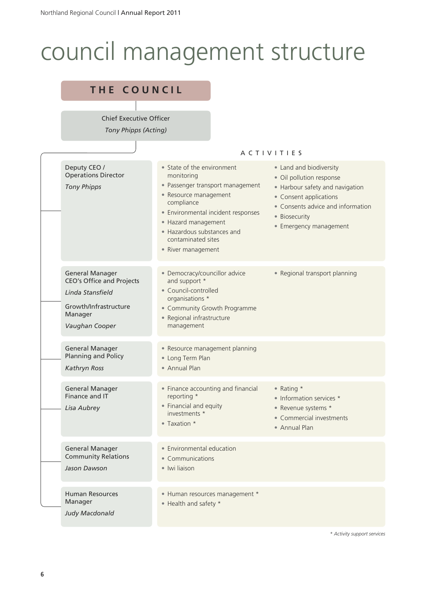## council management structure

| THE COUNCIL                                                                                                                          |                                                                                                                                                                                                                                                            |                                                                                                                                                                                                  |
|--------------------------------------------------------------------------------------------------------------------------------------|------------------------------------------------------------------------------------------------------------------------------------------------------------------------------------------------------------------------------------------------------------|--------------------------------------------------------------------------------------------------------------------------------------------------------------------------------------------------|
|                                                                                                                                      |                                                                                                                                                                                                                                                            |                                                                                                                                                                                                  |
| <b>Chief Executive Officer</b><br>Tony Phipps (Acting)                                                                               |                                                                                                                                                                                                                                                            |                                                                                                                                                                                                  |
|                                                                                                                                      |                                                                                                                                                                                                                                                            | ACTIVITIES                                                                                                                                                                                       |
| Deputy CEO /<br><b>Operations Director</b><br><b>Tony Phipps</b>                                                                     | • State of the environment<br>monitoring<br>• Passenger transport management<br>• Resource management<br>compliance<br>· Environmental incident responses<br>• Hazard management<br>• Hazardous substances and<br>contaminated sites<br>• River management | • Land and biodiversity<br>· Oil pollution response<br>• Harbour safety and navigation<br>• Consent applications<br>• Consents advice and information<br>• Biosecurity<br>• Emergency management |
| <b>General Manager</b><br><b>CEO's Office and Projects</b><br>Linda Stansfield<br>Growth/Infrastructure<br>Manager<br>Vaughan Cooper | · Democracy/councillor advice<br>and support *<br>• Council-controlled<br>organisations *<br>• Community Growth Programme<br>· Regional infrastructure<br>management                                                                                       | • Regional transport planning                                                                                                                                                                    |
| <b>General Manager</b><br><b>Planning and Policy</b><br>Kathryn Ross                                                                 | · Resource management planning<br>• Long Term Plan<br>• Annual Plan                                                                                                                                                                                        |                                                                                                                                                                                                  |
| <b>General Manager</b><br>Finance and IT<br>Lisa Aubrey                                                                              | • Finance accounting and financial<br>reporting *<br>• Financial and equity<br>investments *<br>• Taxation *                                                                                                                                               | • Rating *<br>• Information services *<br>• Revenue systems *<br>• Commercial investments<br>• Annual Plan                                                                                       |
| <b>General Manager</b><br><b>Community Relations</b><br>Jason Dawson                                                                 | • Environmental education<br>• Communications<br>· Iwi liaison                                                                                                                                                                                             |                                                                                                                                                                                                  |
| <b>Human Resources</b><br>Manager<br>Judy Macdonald                                                                                  | • Human resources management *<br>• Health and safety *                                                                                                                                                                                                    |                                                                                                                                                                                                  |

*\* Activity support services*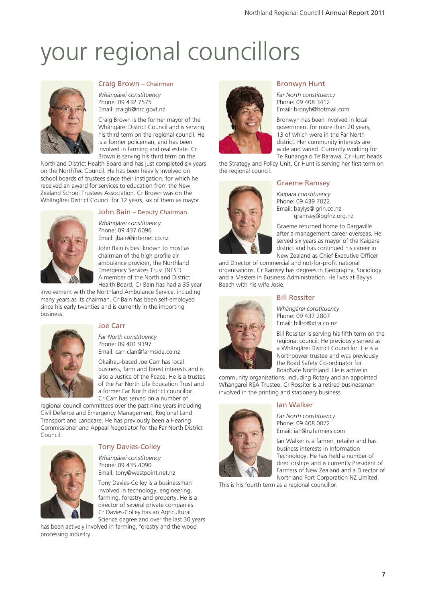### your regional councillors



#### Craig Brown – Chairman

*Whängärei constituency* Phone: 09 432 7575 Email: craigb@nrc.govt.nz

Craig Brown is the former mayor of the Whängärei District Council and is serving his third term on the regional council. He is a former policeman, and has been involved in farming and real estate. Cr Brown is serving his third term on the

Northland District Health Board and has just completed six years on the NorthTec Council. He has been heavily involved on school boards of trustees since their instigation, for which he received an award for services to education from the New Zealand School Trustees Association. Cr Brown was on the Whängärei District Council for 12 years, six of them as mayor.



#### John Bain – Deputy Chairman

*Whängärei constituency* Phone: 09 437 6096 Email: jbain@internet.co.nz

John Bain is best known to most as chairman of the high profile air ambulance provider, the Northland Emergency Services Trust (NEST). A member of the Northland District Health Board, Cr Bain has had a 35 year

involvement with the Northland Ambulance Service, including many years as its chairman. Cr Bain has been self-employed since his early twenties and is currently in the importing business.



#### Joe Carr

*Far North constituency* Phone: 09 401 9197 Email: carr.clan@farmside.co.nz

Okaihau-based Joe Carr has local business, farm and forest interests and is also a Justice of the Peace. He is a trustee of the Far North Life Education Trust and a former Far North district councillor. Cr Carr has served on a number of

regional council committees over the past nine years including Civil Defence and Emergency Management, Regional Land Transport and Landcare. He has previously been a Hearing Commissioner and Appeal Negotiator for the Far North District Council.



#### Tony Davies-Colley

*Whängärei constituency* Phone: 09 435 4090 Email: tony@westpoint.net.nz

Tony Davies-Colley is a businessman involved in technology, engineering, farming, forestry and property. He is a director of several private companies. Cr Davies-Colley has an Agricultural Science degree and over the last 30 years

has been actively involved in farming, forestry and the wood processing industry.



#### Bronwyn Hunt

*Far North constituency* Phone: 09 408 3412 Email: bronyh@hotmail.com

Bronwyn has been involved in local government for more than 20 years, 13 of which were in the Far North district. Her community interests are wide and varied. Currently working for Te Runanga o Te Rarawa, Cr Hunt heads

the Strategy and Policy Unit. Cr Hunt is serving her first term on the regional council.



#### Graeme Ramsey

*Kaipara constituency* Phone: 09 439 7022 Email: baylys@igrin.co.nz gramsey@pgfnz.org.nz

Graeme returned home to Dargaville after a management career overseas. He served six years as mayor of the Kaipara district and has continued his career in New Zealand as Chief Executive Officer

and Director of commercial and not-for-profit national organisations. Cr Ramsey has degrees in Geography, Sociology and a Masters in Business Administration. He lives at Baylys Beach with his wife Josie.



#### Bill Rossiter

*Whängärei constituency* Phone: 09 437 2807 Email: billro@xtra.co.nz

Bill Rossiter is serving his fifth term on the regional council. He previously served as a Whängärei District Councillor. He is a Northpower trustee and was previously the Road Safety Co-ordinator for RoadSafe Northland. He is active in

community organisations, including Rotary and an appointed Whängärei RSA Trustee. Cr Rossiter is a retired businessman involved in the printing and stationery business.

#### Ian Walker



*Far North constituency* Phone: 09 408 0072 Email: ian@nzfarmers.com

Ian Walker is a farmer, retailer and has business interests in Information Technology. He has held a number of directorships and is currently President of Farmers of New Zealand and a Director of Northland Port Corporation NZ Limited.

This is his fourth term as a regional councillor.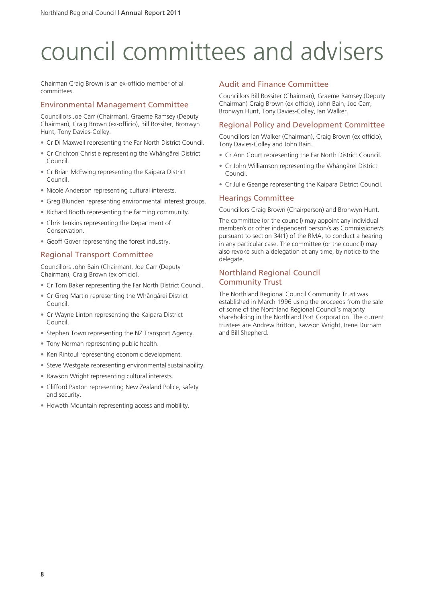### council committees and advisers

Chairman Craig Brown is an ex-officio member of all committees.

#### Environmental Management Committee

Councillors Joe Carr (Chairman), Graeme Ramsey (Deputy Chairman), Craig Brown (ex-officio), Bill Rossiter, Bronwyn Hunt, Tony Davies-Colley.

- Cr Di Maxwell representing the Far North District Council.
- Cr Crichton Christie representing the Whängärei District Council.
- Cr Brian McEwing representing the Kaipara District Council.
- Nicole Anderson representing cultural interests.
- Greg Blunden representing environmental interest groups.
- Richard Booth representing the farming community.
- Chris Jenkins representing the Department of Conservation.
- Geoff Gover representing the forest industry.

#### Regional Transport Committee

Councillors John Bain (Chairman), Joe Carr (Deputy Chairman), Craig Brown (ex officio).

- Cr Tom Baker representing the Far North District Council.
- Cr Greg Martin representing the Whängärei District Council.
- Cr Wayne Linton representing the Kaipara District Council.
- Stephen Town representing the NZ Transport Agency.
- Tony Norman representing public health.
- Ken Rintoul representing economic development.
- Steve Westgate representing environmental sustainability.
- Rawson Wright representing cultural interests.
- Clifford Paxton representing New Zealand Police, safety and security.
- Howeth Mountain representing access and mobility.

#### Audit and Finance Committee

Councillors Bill Rossiter (Chairman), Graeme Ramsey (Deputy Chairman) Craig Brown (ex officio), John Bain, Joe Carr, Bronwyn Hunt, Tony Davies-Colley, Ian Walker.

#### Regional Policy and Development Committee

Councillors Ian Walker (Chairman), Craig Brown (ex officio), Tony Davies-Colley and John Bain.

- Cr Ann Court representing the Far North District Council.
- Cr John Williamson representing the Whängärei District Council.
- Cr Julie Geange representing the Kaipara District Council.

#### Hearings Committee

Councillors Craig Brown (Chairperson) and Bronwyn Hunt.

The committee (or the council) may appoint any individual member/s or other independent person/s as Commissioner/s pursuant to section 34(1) of the RMA, to conduct a hearing in any particular case. The committee (or the council) may also revoke such a delegation at any time, by notice to the delegate.

#### Northland Regional Council Community Trust

The Northland Regional Council Community Trust was established in March 1996 using the proceeds from the sale of some of the Northland Regional Council's majority shareholding in the Northland Port Corporation. The current trustees are Andrew Britton, Rawson Wright, Irene Durham and Bill Shepherd.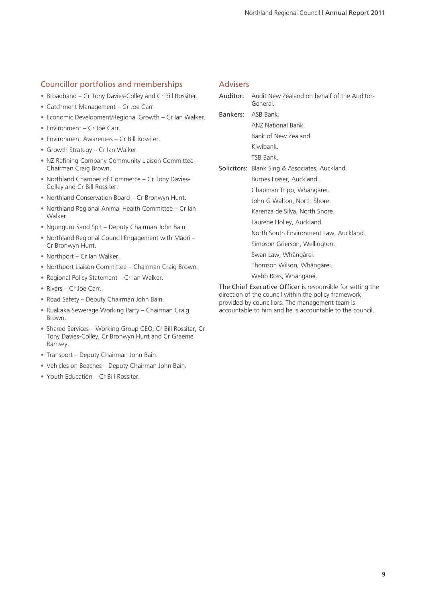#### Councillor portfolios and memberships

- Broadband Cr Tony Davies-Colley and Cr Bill Rossiter.
- Catchment Management Cr Joe Carr.
- Economic Development/Regional Growth Cr Ian Walker.
- Environment Cr Joe Carr.
- Environment Awareness Cr Bill Rossiter.
- Growth Strategy Cr Ian Walker.
- NZ Refining Company Community Liaison Committee Chairman Craig Brown.
- Northland Chamber of Commerce Cr Tony Davies-Colley and Cr Bill Rossiter.
- Northland Conservation Board Cr Bronwyn Hunt.
- Northland Regional Animal Health Committee Cr Ian Walker.
- Ngunguru Sand Spit Deputy Chairman John Bain.
- Northland Regional Council Engagement with Mäori Cr Bronwyn Hunt.
- Northport Cr Ian Walker.
- Northport Liaison Committee Chairman Craig Brown.
- Regional Policy Statement Cr Ian Walker.
- Rivers Cr Joe Carr.
- Road Safety Deputy Chairman John Bain.
- Ruakaka Sewerage Working Party Chairman Craig Brown.
- Shared Services Working Group CEO, Cr Bill Rossiter, Cr Tony Davies-Colley, Cr Bronwyn Hunt and Cr Graeme Ramsey.
- Transport Deputy Chairman John Bain.
- Vehicles on Beaches Deputy Chairman John Bain.
- Youth Education Cr Bill Rossiter.

#### Advisers

| Auditor: | Audit New Zealand on behalf of the Auditor-<br>General |
|----------|--------------------------------------------------------|
|          | <b>Bankers:</b> ASB Bank.                              |
|          | ANZ National Bank.                                     |
|          | Bank of New Zealand.                                   |
|          | Kiwibank.                                              |
|          | TSB Bank.                                              |
|          | <b>Solicitors:</b> Blank Sing & Associates, Auckland.  |
|          | Burnes Fraser, Auckland.                               |
|          | Chapman Tripp, Whāngārei.                              |
|          | John G Walton, North Shore.                            |
|          | Karenza de Silva, North Shore.                         |
|          | Laurene Holley, Auckland.                              |
|          | North South Environment Law, Auckland.                 |
|          | Simpson Grierson, Wellington.                          |
|          | Swan Law, Whāngārei.                                   |
|          | Thomson Wilson, Whāngārei.                             |

Webb Ross, Whängärei.

The Chief Executive Officer is responsible for setting the direction of the council within the policy framework provided by councillors. The management team is accountable to him and he is accountable to the council.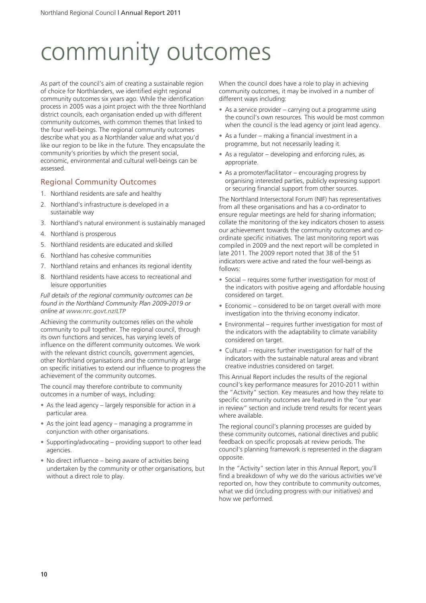### community outcomes

As part of the council's aim of creating a sustainable region of choice for Northlanders, we identified eight regional community outcomes six years ago. While the identification process in 2005 was a joint project with the three Northland district councils, each organisation ended up with different community outcomes, with common themes that linked to the four well-beings. The regional community outcomes describe what you as a Northlander value and what you'd like our region to be like in the future. They encapsulate the community's priorities by which the present social, economic, environmental and cultural well-beings can be assessed.

#### Regional Community Outcomes

- 1. Northland residents are safe and healthy
- 2. Northland's infrastructure is developed in a sustainable way
- 3. Northland's natural environment is sustainably managed
- 4. Northland is prosperous
- 5. Northland residents are educated and skilled
- 6. Northland has cohesive communities
- 7. Northland retains and enhances its regional identity
- 8. Northland residents have access to recreational and leisure opportunities

*Full details of the regional community outcomes can be found in the Northland Community Plan 2009-2019 or online at www.nrc.govt.nz/LTP*

Achieving the community outcomes relies on the whole community to pull together. The regional council, through its own functions and services, has varying levels of influence on the different community outcomes. We work with the relevant district councils, government agencies, other Northland organisations and the community at large on specific initiatives to extend our influence to progress the achievement of the community outcomes.

The council may therefore contribute to community outcomes in a number of ways, including:

- As the lead agency largely responsible for action in a particular area.
- As the joint lead agency managing a programme in conjunction with other organisations.
- Supporting/advocating providing support to other lead agencies.
- No direct influence being aware of activities being undertaken by the community or other organisations, but without a direct role to play.

When the council does have a role to play in achieving community outcomes, it may be involved in a number of different ways including:

- As a service provider carrying out a programme using the council's own resources. This would be most common when the council is the lead agency or joint lead agency.
- As a funder making a financial investment in a programme, but not necessarily leading it.
- As a regulator developing and enforcing rules, as appropriate.
- As a promoter/facilitator encouraging progress by organising interested parties, publicly expressing support or securing financial support from other sources.

The Northland Intersectoral Forum (NIF) has representatives from all these organisations and has a co-ordinator to ensure regular meetings are held for sharing information; collate the monitoring of the key indicators chosen to assess our achievement towards the community outcomes and coordinate specific initiatives. The last monitoring report was compiled in 2009 and the next report will be completed in late 2011. The 2009 report noted that 38 of the 51 indicators were active and rated the four well-beings as follows:

- Social requires some further investigation for most of the indicators with positive ageing and affordable housing considered on target.
- Economic considered to be on target overall with more investigation into the thriving economy indicator.
- Environmental requires further investigation for most of the indicators with the adaptability to climate variability considered on target.
- Cultural requires further investigation for half of the indicators with the sustainable natural areas and vibrant creative industries considered on target.

This Annual Report includes the results of the regional council's key performance measures for 2010-2011 within the "Activity" section. Key measures and how they relate to specific community outcomes are featured in the "our year in review" section and include trend results for recent years where available.

The regional council's planning processes are guided by these community outcomes, national directives and public feedback on specific proposals at review periods. The council's planning framework is represented in the diagram opposite.

In the "Activity" section later in this Annual Report, you'll find a breakdown of why we do the various activities we've reported on, how they contribute to community outcomes, what we did (including progress with our initiatives) and how we performed.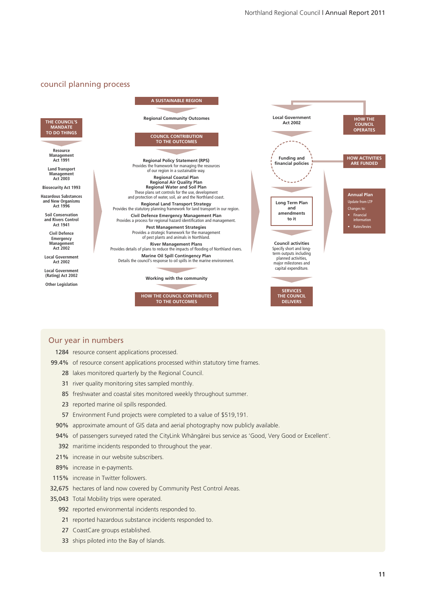#### council planning process

**THE COUNCIL'S MANDATE TO DO THINGS**

> **Resource Management Act 1991**

**Land Transport Management Act 2003**

**Biosecurity Act 1993**

**Hazardous Substances and New Organisms Act 1996**

**Soil Conservation and Rivers Control Act 1941**

> **Civil Defence Emergency Management Act 2002**

**Local Government Act 2002**

**Local Government (Rating) Act 2002**

**Other Legislation**

**A SUSTAINABLE REGION Regional Community Outcomes Local Government COUNCIL CONTRIBUTION TO THE OUTCOMES ARE FUNDED Regional Policy Statement (RPS)** Provides the framework for managing the resources of our region in a sustainable way. **Regional Coastal Plan Regional Air Quality Plan Regional Water and Soil Plan** These plans set controls for the use, development and protection of water, soil, air and the Northland coast. **Regional Land Transport Strategy** Provides the statutory planning framework for land transport in our region. **Civil Defence Emergency Management Plan** Provides a process for regional hazard identification and management. **Pest Management Strategies**<br>Is a strategic framework for the manager Provides a strategic framework for the management of pest plants and animals in Northland.

**River Management Plans** Provides details of plans to reduce the impacts of flooding of Northland rivers. **Marine Oil Spill Contingency Plan** Details the council's response to oil spills in the marine environment.

**Working with the community**

**HOW THE COUNCIL CONTRIBUTES TO THE OUTCOMES**



**DELIVERS**

#### Our year in numbers

1284 resource consent applications processed.

99.4% of resource consent applications processed within statutory time frames.

- 28 lakes monitored quarterly by the Regional Council.
- 31 river quality monitoring sites sampled monthly.
- 85 freshwater and coastal sites monitored weekly throughout summer.
- 23 reported marine oil spills responded.
- 57 Environment Fund projects were completed to a value of \$519,191.
- 90% approximate amount of GIS data and aerial photography now publicly available.
- 94% of passengers surveyed rated the CityLink Whängärei bus service as 'Good, Very Good or Excellent'.
- 392 maritime incidents responded to throughout the year.
- 21% increase in our website subscribers.
- 89% increase in e-payments.
- 115% increase in Twitter followers.
- 32,675 hectares of land now covered by Community Pest Control Areas.
- 35,043 Total Mobility trips were operated.
	- 992 reported environmental incidents responded to.
	- 21 reported hazardous substance incidents responded to.
	- 27 CoastCare groups established.
	- 33 ships piloted into the Bay of Islands.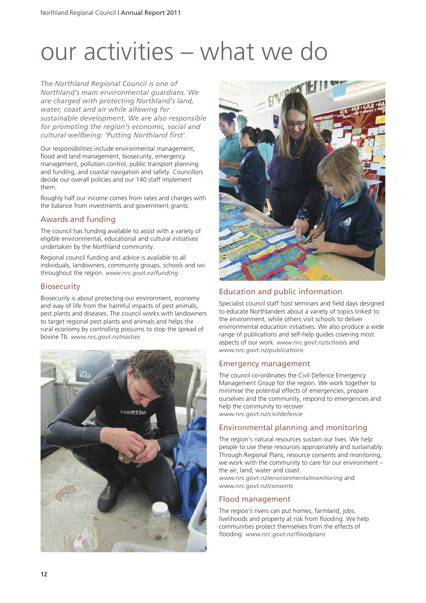### our activities – what we do

*The Northland Regional Council is one of Northland's main environmental guardians. We are charged with protecting Northland's land, water, coast and air while allowing for sustainable development. We are also responsible for promoting the region's economic, social and cultural wellbeing: 'Putting Northland first'.*

Our responsibilities include environmental management, flood and land management, biosecurity, emergency management, pollution control, public transport planning and funding, and coastal navigation and safety. Councillors decide our overall policies and our 140 staff implement them.

Roughly half our income comes from rates and charges with the balance from investments and government grants.

#### Awards and funding

The council has funding available to assist with a variety of eligible environmental, educational and cultural initiatives undertaken by the Northland community.

Regional council funding and advice is available to all individuals, landowners, community groups, schools and iwi throughout the region. *www.nrc.govt.nz/funding*

#### **Biosecurity**

Biosecurity is about protecting our environment, economy and way of life from the harmful impacts of pest animals, pest plants and diseases. The council works with landowners to target regional pest plants and animals and helps the rural economy by controlling possums to stop the spread of bovine Tb. *www.nrc.govt.nz/nasties*





#### Education and public information

Specialist council staff host seminars and field days designed to educate Northlanders about a variety of topics linked to the environment, while others visit schools to deliver environmental education initiatives. We also produce a wide range of publications and self-help guides covering most aspects of our work. *www.nrc.govt.nz/schools* and *www.nrc.govt.nz/publications*

#### Emergency management

The council co-ordinates the Civil Defence Emergency Management Group for the region. We work together to minimise the potential effects of emergencies, prepare ourselves and the community, respond to emergencies and help the community to recover. *www.nrc.govt.nz/civildefence*

#### Environmental planning and monitoring

The region's natural resources sustain our lives. We help people to use these resources appropriately and sustainably. Through Regional Plans, resource consents and monitoring, we work with the community to care for our environment – the air, land, water and coast. *www.nrc.govt.nz/environmentalmonitoring* and *www.nrc.govt.nz/consents*

#### Flood management

The region's rivers can put homes, farmland, jobs, livelihoods and property at risk from flooding. We help communities protect themselves from the effects of flooding. *www.nrc.govt.nz/floodplans*